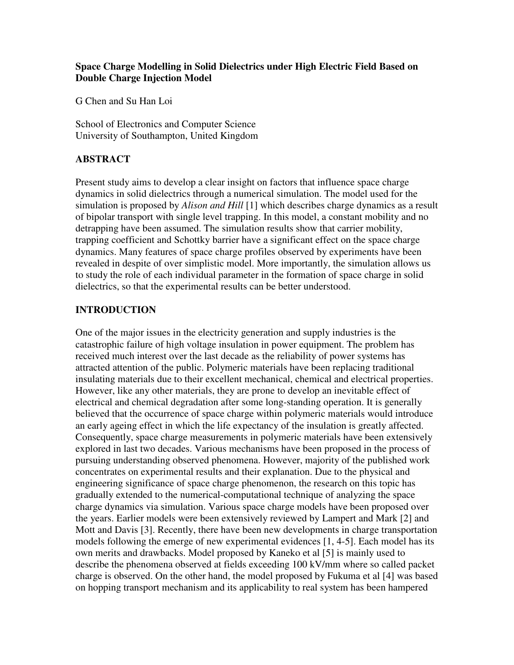#### **Space Charge Modelling in Solid Dielectrics under High Electric Field Based on Double Charge Injection Model**

G Chen and Su Han Loi

School of Electronics and Computer Science University of Southampton, United Kingdom

## **ABSTRACT**

Present study aims to develop a clear insight on factors that influence space charge dynamics in solid dielectrics through a numerical simulation. The model used for the simulation is proposed by *Alison and Hill* [1] which describes charge dynamics as a result of bipolar transport with single level trapping. In this model, a constant mobility and no detrapping have been assumed. The simulation results show that carrier mobility, trapping coefficient and Schottky barrier have a significant effect on the space charge dynamics. Many features of space charge profiles observed by experiments have been revealed in despite of over simplistic model. More importantly, the simulation allows us to study the role of each individual parameter in the formation of space charge in solid dielectrics, so that the experimental results can be better understood.

## **INTRODUCTION**

One of the major issues in the electricity generation and supply industries is the catastrophic failure of high voltage insulation in power equipment. The problem has received much interest over the last decade as the reliability of power systems has attracted attention of the public. Polymeric materials have been replacing traditional insulating materials due to their excellent mechanical, chemical and electrical properties. However, like any other materials, they are prone to develop an inevitable effect of electrical and chemical degradation after some long-standing operation. It is generally believed that the occurrence of space charge within polymeric materials would introduce an early ageing effect in which the life expectancy of the insulation is greatly affected. Consequently, space charge measurements in polymeric materials have been extensively explored in last two decades. Various mechanisms have been proposed in the process of pursuing understanding observed phenomena. However, majority of the published work concentrates on experimental results and their explanation. Due to the physical and engineering significance of space charge phenomenon, the research on this topic has gradually extended to the numerical-computational technique of analyzing the space charge dynamics via simulation. Various space charge models have been proposed over the years. Earlier models were been extensively reviewed by Lampert and Mark [2] and Mott and Davis [3]. Recently, there have been new developments in charge transportation models following the emerge of new experimental evidences [1, 4-5]. Each model has its own merits and drawbacks. Model proposed by Kaneko et al [5] is mainly used to describe the phenomena observed at fields exceeding 100 kV/mm where so called packet charge is observed. On the other hand, the model proposed by Fukuma et al [4] was based on hopping transport mechanism and its applicability to real system has been hampered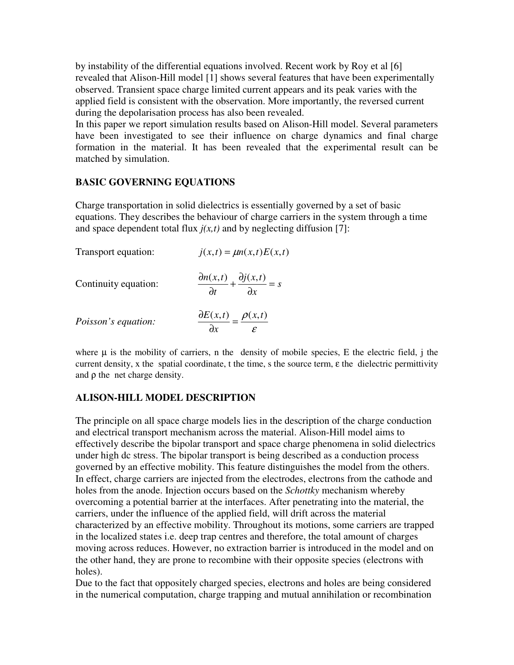by instability of the differential equations involved. Recent work by Roy et al [6] revealed that Alison-Hill model [1] shows several features that have been experimentally observed. Transient space charge limited current appears and its peak varies with the applied field is consistent with the observation. More importantly, the reversed current during the depolarisation process has also been revealed.

In this paper we report simulation results based on Alison-Hill model. Several parameters have been investigated to see their influence on charge dynamics and final charge formation in the material. It has been revealed that the experimental result can be matched by simulation.

#### **BASIC GOVERNING EQUATIONS**

Charge transportation in solid dielectrics is essentially governed by a set of basic equations. They describes the behaviour of charge carriers in the system through a time and space dependent total flux  $j(x,t)$  and by neglecting diffusion [7]:

| Transport equation:        | $j(x,t) = \mu n(x,t) E(x,t)$                                                  |  |
|----------------------------|-------------------------------------------------------------------------------|--|
| Continuity equation:       | $\frac{\partial n(x,t)}{\partial t} + \frac{\partial j(x,t)}{\partial x} = s$ |  |
| <i>Poisson's equation:</i> | $\partial E(x, t)$ - $\rho(x, t)$<br>$\mathcal{E}_{\mathcal{C}}$              |  |

where  $\mu$  is the mobility of carriers, n the density of mobile species, E the electric field, j the current density, x the spatial coordinate, t the time, s the source term,  $\varepsilon$  the dielectric permittivity and  $\rho$  the net charge density.

## **ALISON-HILL MODEL DESCRIPTION**

The principle on all space charge models lies in the description of the charge conduction and electrical transport mechanism across the material. Alison-Hill model aims to effectively describe the bipolar transport and space charge phenomena in solid dielectrics under high dc stress. The bipolar transport is being described as a conduction process governed by an effective mobility. This feature distinguishes the model from the others. In effect, charge carriers are injected from the electrodes, electrons from the cathode and holes from the anode. Injection occurs based on the *Schottky* mechanism whereby overcoming a potential barrier at the interfaces. After penetrating into the material, the carriers, under the influence of the applied field, will drift across the material characterized by an effective mobility. Throughout its motions, some carriers are trapped in the localized states i.e. deep trap centres and therefore, the total amount of charges moving across reduces. However, no extraction barrier is introduced in the model and on the other hand, they are prone to recombine with their opposite species (electrons with holes).

Due to the fact that oppositely charged species, electrons and holes are being considered in the numerical computation, charge trapping and mutual annihilation or recombination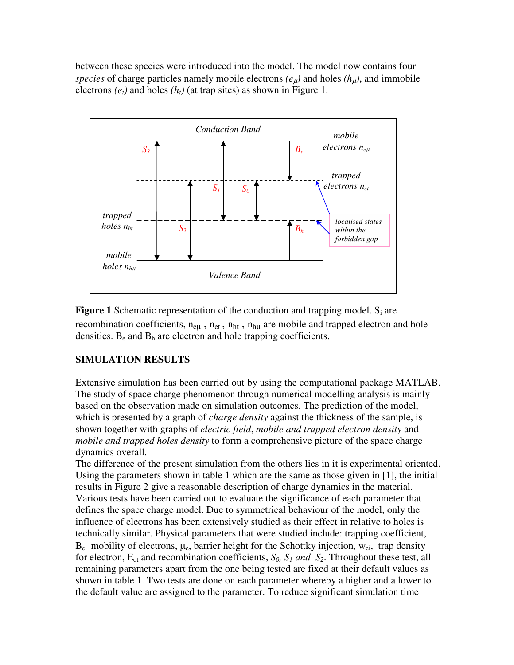between these species were introduced into the model. The model now contains four species of charge particles namely mobile electrons  $(e_{\mu})$  and holes  $(h_{\mu})$ , and immobile electrons  $(e_t)$  and holes  $(h_t)$  (at trap sites) as shown in Figure 1.



**Figure 1** Schematic representation of the conduction and trapping model.  $S_i$  are recombination coefficients,  $n_{e\mu}$ ,  $n_{et}$ ,  $n_{ht}$ ,  $n_{h\mu}$  are mobile and trapped electron and hole densities.  $B_e$  and  $B_h$  are electron and hole trapping coefficients.

# **SIMULATION RESULTS**

Extensive simulation has been carried out by using the computational package MATLAB. The study of space charge phenomenon through numerical modelling analysis is mainly based on the observation made on simulation outcomes. The prediction of the model, which is presented by a graph of *charge density* against the thickness of the sample, is shown together with graphs of *electric field*, *mobile and trapped electron density* and *mobile and trapped holes density* to form a comprehensive picture of the space charge dynamics overall.

The difference of the present simulation from the others lies in it is experimental oriented. Using the parameters shown in table 1 which are the same as those given in [1], the initial results in Figure 2 give a reasonable description of charge dynamics in the material. Various tests have been carried out to evaluate the significance of each parameter that defines the space charge model. Due to symmetrical behaviour of the model, only the influence of electrons has been extensively studied as their effect in relative to holes is technically similar. Physical parameters that were studied include: trapping coefficient,  $B_{\rm e}$ , mobility of electrons,  $\mu_{\rm e}$ , barrier height for the Schottky injection,  $w_{\rm ei}$ , trap density for electron,  $E_{ot}$  and recombination coefficients,  $S_0$ ,  $S_1$  *and*  $S_2$ . Throughout these test, all remaining parameters apart from the one being tested are fixed at their default values as shown in table 1. Two tests are done on each parameter whereby a higher and a lower to the default value are assigned to the parameter. To reduce significant simulation time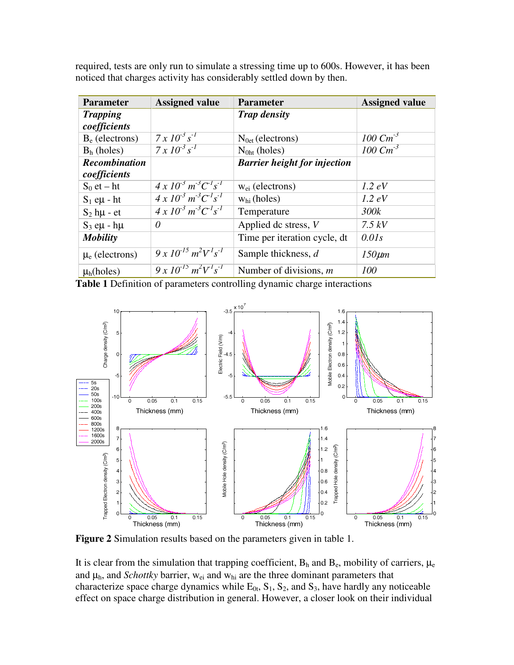required, tests are only run to simulate a stressing time up to 600s. However, it has been noticed that charges activity has considerably settled down by then.

| <b>Parameter</b>     | <b>Assigned value</b>                                              | <b>Parameter</b>                    | <b>Assigned value</b> |
|----------------------|--------------------------------------------------------------------|-------------------------------------|-----------------------|
| <b>Trapping</b>      |                                                                    | <b>Trap density</b>                 |                       |
| coefficients         |                                                                    |                                     |                       |
| $B_e$ (electrons)    | $7 \times 10^{-3} s^{-1}$                                          | $N_{0et}$ (electrons)               | $100 \, \text{Cm}^3$  |
| $B_h$ (holes)        | $\frac{7 \times 10^{-3} s^{-1}}{2 \times 10^{-3} s^{-1}}$          | $N_{0ht}$ (holes)                   | $100 \text{ Cm}^3$    |
| <b>Recombination</b> |                                                                    | <b>Barrier height for injection</b> |                       |
| coefficients         |                                                                    |                                     |                       |
| $S_0$ et – ht        | $4 \times 10^{-3} \, m^3 C^1 s^1$                                  | $w_{ei}$ (electrons)                | $1.2 \, \text{eV}$    |
| $S_1$ eµ - ht        | $4 \times 10^{-3}$ m <sup>-3</sup> C <sup>-1</sup> s <sup>-1</sup> | $whi$ (holes)                       | 1.2 eV                |
| $S_2$ hµ - et        | $4 \times 10^{-3} \, m^{-3} C^{-1} s^{-1}$                         | Temperature                         | 300k                  |
| $S_3$ eµ - hµ        | 0                                                                  | Applied dc stress, V                | $7.5$ kV              |
| <b>Mobility</b>      |                                                                    | Time per iteration cycle, dt        | 0.01s                 |
| $\mu_e$ (electrons)  | $9 \times 10^{-15} m^2 V^I s^{-1}$                                 | Sample thickness, d                 | $150 \mu m$           |
| $\mu_h$ (holes)      | $9 \times 10^{-15} m^2 V^I s^{-1}$                                 | Number of divisions, $m$            | 100                   |

**Table 1** Definition of parameters controlling dynamic charge interactions



**Figure 2** Simulation results based on the parameters given in table 1.

It is clear from the simulation that trapping coefficient,  $B_h$  and  $B_e$ , mobility of carriers,  $\mu_e$ and  $\mu_h$ , and *Schottky* barrier,  $w_{ei}$  and  $w_{hi}$  are the three dominant parameters that characterize space charge dynamics while  $E_{0t}$ ,  $S_1$ ,  $S_2$ , and  $S_3$ , have hardly any noticeable effect on space charge distribution in general. However, a closer look on their individual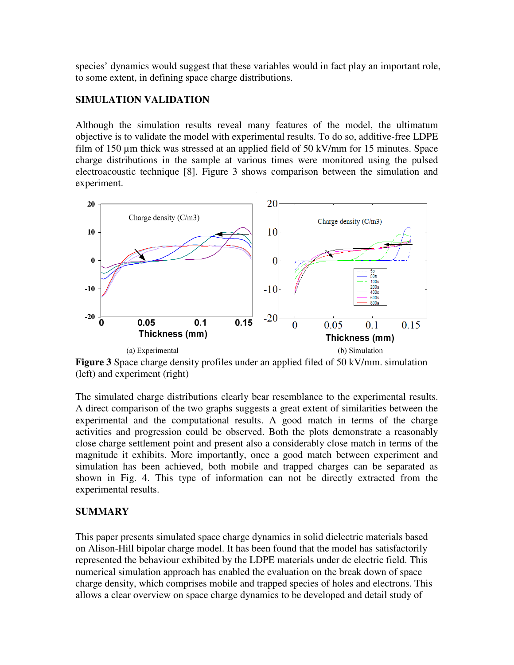species' dynamics would suggest that these variables would in fact play an important role, to some extent, in defining space charge distributions.

## **SIMULATION VALIDATION**

Although the simulation results reveal many features of the model, the ultimatum objective is to validate the model with experimental results. To do so, additive-free LDPE film of  $150 \mu$ m thick was stressed at an applied field of  $50 \text{ kV/mm}$  for  $15 \text{ minutes}$ . Space charge distributions in the sample at various times were monitored using the pulsed electroacoustic technique [8]. Figure 3 shows comparison between the simulation and experiment.



**Figure 3** Space charge density profiles under an applied filed of 50 kV/mm. simulation (left) and experiment (right)

The simulated charge distributions clearly bear resemblance to the experimental results. A direct comparison of the two graphs suggests a great extent of similarities between the experimental and the computational results. A good match in terms of the charge activities and progression could be observed. Both the plots demonstrate a reasonably close charge settlement point and present also a considerably close match in terms of the magnitude it exhibits. More importantly, once a good match between experiment and simulation has been achieved, both mobile and trapped charges can be separated as shown in Fig. 4. This type of information can not be directly extracted from the experimental results.

#### **SUMMARY**

This paper presents simulated space charge dynamics in solid dielectric materials based on Alison-Hill bipolar charge model. It has been found that the model has satisfactorily represented the behaviour exhibited by the LDPE materials under dc electric field. This numerical simulation approach has enabled the evaluation on the break down of space charge density, which comprises mobile and trapped species of holes and electrons. This allows a clear overview on space charge dynamics to be developed and detail study of